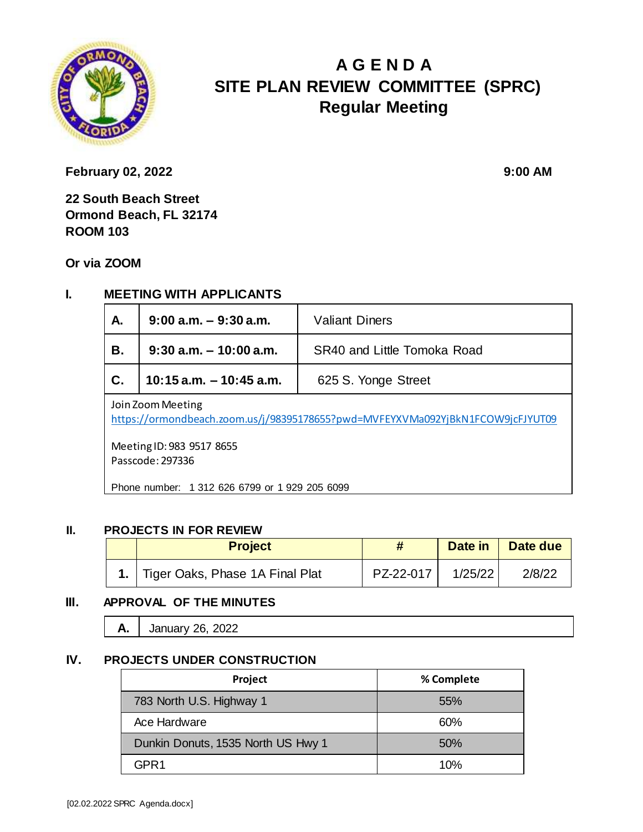

# **A G E N D A SITE PLAN REVIEW COMMITTEE (SPRC) Regular Meeting**

**February 02, 2022** 9:00 **AM** 

**22 South Beach Street Ormond Beach, FL 32174 ROOM 103**

**Or via ZOOM**

### **I. MEETING WITH APPLICANTS**

| Α.                                                                                                  | $9:00$ a.m. $-9:30$ a.m.   | <b>Valiant Diners</b>       |  |  |
|-----------------------------------------------------------------------------------------------------|----------------------------|-----------------------------|--|--|
| В.                                                                                                  | $9:30$ a.m. $-10:00$ a.m.  | SR40 and Little Tomoka Road |  |  |
| $\mathbf{C}$ .                                                                                      | $10:15$ a.m. $-10:45$ a.m. | 625 S. Yonge Street         |  |  |
| Join Zoom Meeting<br>https://ormondbeach.zoom.us/j/98395178655?pwd=MVFEYXVMa092YjBkN1FCOW9jcFJYUT09 |                            |                             |  |  |

Meeting ID: 983 9517 8655 Passcode: 297336

Phone number: 1 312 626 6799 or 1 929 205 6099

#### **II. PROJECTS IN FOR REVIEW**

|  | <b>Project</b>                       |           | Date in | Date due |
|--|--------------------------------------|-----------|---------|----------|
|  | 1.   Tiger Oaks, Phase 1A Final Plat | PZ-22-017 | 1/25/22 | 2/8/22   |

#### **III. APPROVAL OF THE MINUTES**

**A.** January 26, 2022

#### **IV. PROJECTS UNDER CONSTRUCTION**

| Project                            | % Complete |
|------------------------------------|------------|
| 783 North U.S. Highway 1           | 55%        |
| Ace Hardware                       | 60%        |
| Dunkin Donuts, 1535 North US Hwy 1 | 50%        |
| GPR 1                              | 10%        |